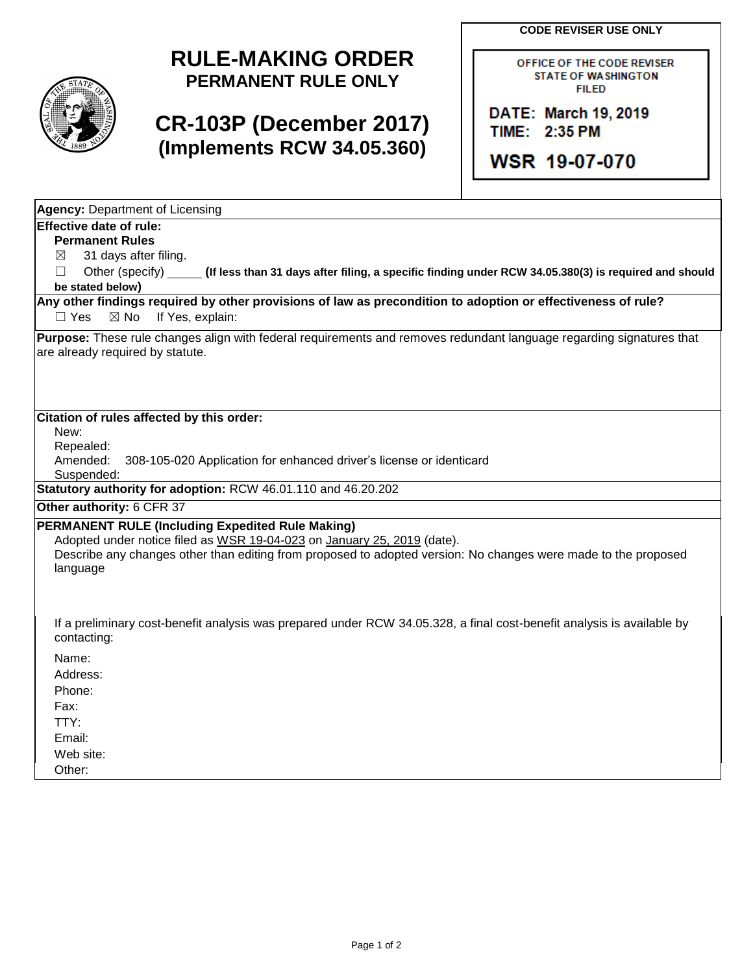**CODE REVISER USE ONLY**



## **RULE-MAKING ORDER PERMANENT RULE ONLY**

## **CR-103P (December 2017) (Implements RCW 34.05.360)**

OFFICE OF THE CODE REVISER **STATE OF WASHINGTON FILED** 

DATE: March 19, 2019 TIME: 2:35 PM

**WSR 19-07-070** 

| <b>Agency: Department of Licensing</b>                                                                                                                                                                                                                           |
|------------------------------------------------------------------------------------------------------------------------------------------------------------------------------------------------------------------------------------------------------------------|
| <b>Effective date of rule:</b>                                                                                                                                                                                                                                   |
| <b>Permanent Rules</b>                                                                                                                                                                                                                                           |
| 31 days after filing.<br>⊠                                                                                                                                                                                                                                       |
| Other (specify)<br>(If less than 31 days after filing, a specific finding under RCW 34.05.380(3) is required and should<br>$\Box$                                                                                                                                |
| be stated below)                                                                                                                                                                                                                                                 |
| Any other findings required by other provisions of law as precondition to adoption or effectiveness of rule?<br>If Yes, explain:<br>$\Box$ Yes<br>$\boxtimes$ No                                                                                                 |
| Purpose: These rule changes align with federal requirements and removes redundant language regarding signatures that                                                                                                                                             |
| are already required by statute.                                                                                                                                                                                                                                 |
|                                                                                                                                                                                                                                                                  |
| Citation of rules affected by this order:                                                                                                                                                                                                                        |
| New:                                                                                                                                                                                                                                                             |
| Repealed:                                                                                                                                                                                                                                                        |
| Amended:<br>308-105-020 Application for enhanced driver's license or identicard                                                                                                                                                                                  |
| Suspended:<br>Statutory authority for adoption: RCW 46.01.110 and 46.20.202                                                                                                                                                                                      |
|                                                                                                                                                                                                                                                                  |
| Other authority: 6 CFR 37                                                                                                                                                                                                                                        |
| <b>PERMANENT RULE (Including Expedited Rule Making)</b><br>Adopted under notice filed as WSR 19-04-023 on January 25, 2019 (date).<br>Describe any changes other than editing from proposed to adopted version: No changes were made to the proposed<br>language |
| If a preliminary cost-benefit analysis was prepared under RCW 34.05.328, a final cost-benefit analysis is available by<br>contacting:                                                                                                                            |
| Name:                                                                                                                                                                                                                                                            |
| Address:                                                                                                                                                                                                                                                         |
| Phone:                                                                                                                                                                                                                                                           |
| Fax:                                                                                                                                                                                                                                                             |
| TTY:                                                                                                                                                                                                                                                             |
| Email:                                                                                                                                                                                                                                                           |
| Web site:                                                                                                                                                                                                                                                        |
| Other:                                                                                                                                                                                                                                                           |
|                                                                                                                                                                                                                                                                  |